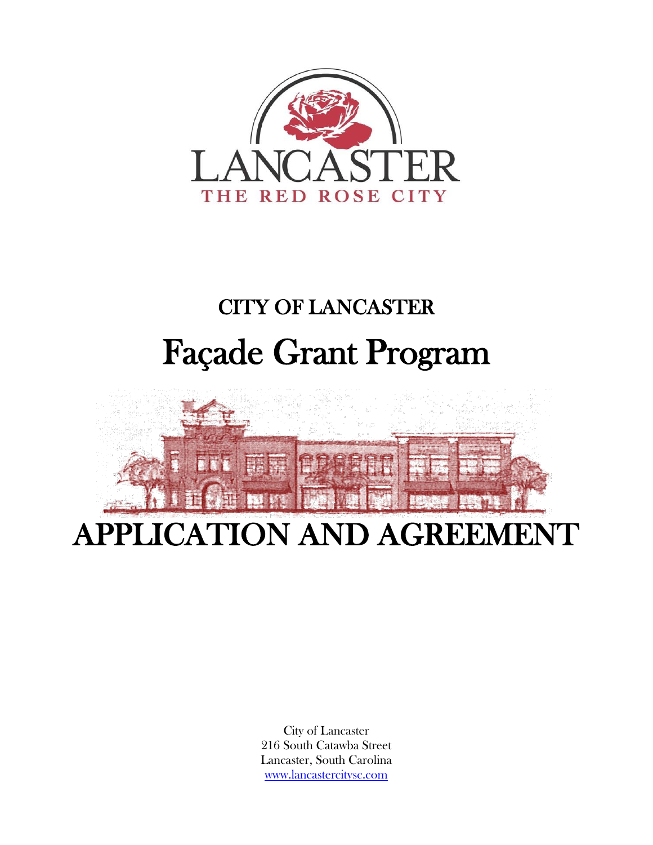

# CITY OF LANCASTER Façade Grant Program



City of Lancaster 216 South Catawba Street Lancaster, South Carolina [www.lancastercitysc.com](http://www.lancastercitysc.com/)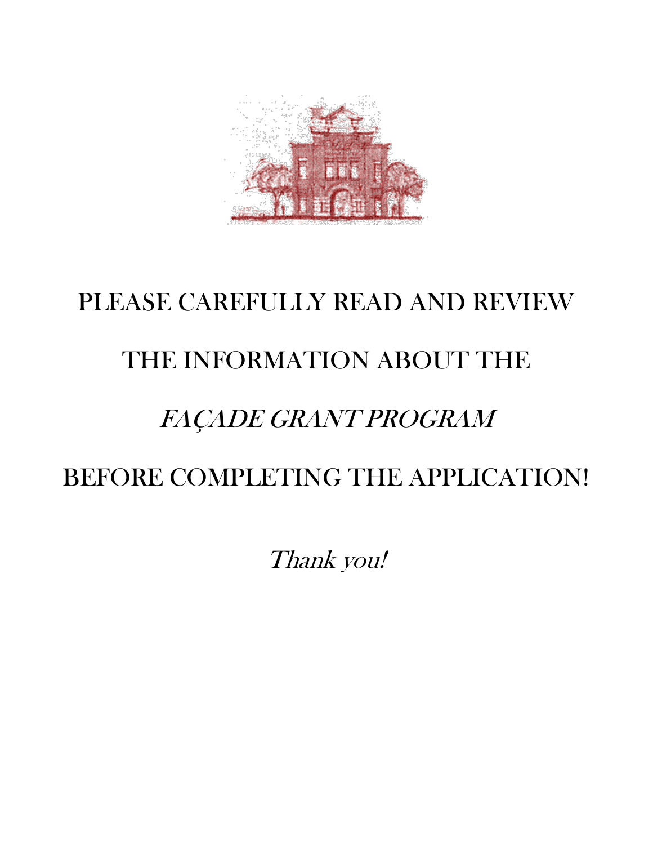

# PLEASE CAREFULLY READ AND REVIEW THE INFORMATION ABOUT THE FAÇADE GRANT PROGRAM BEFORE COMPLETING THE APPLICATION!

Thank you!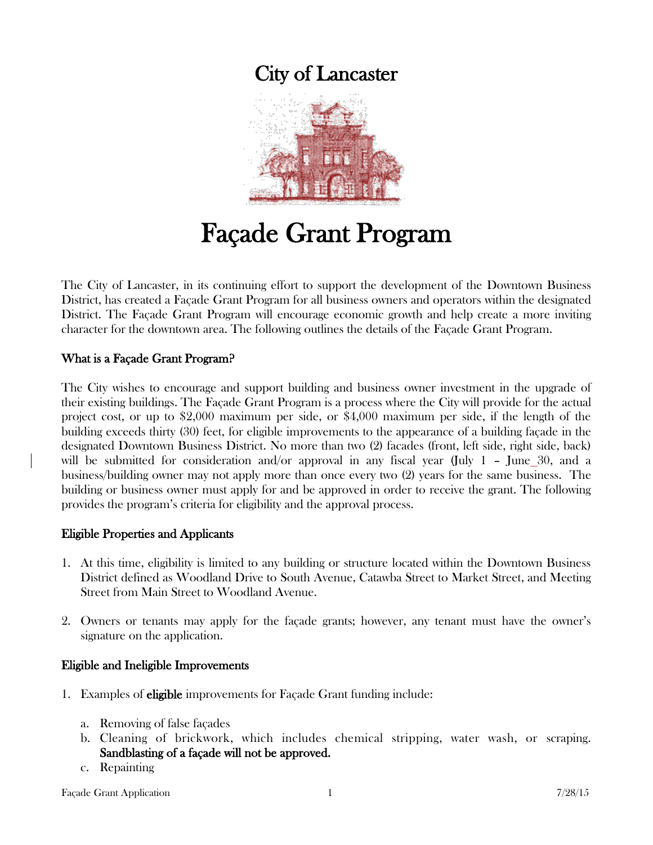## City of Lancaster



# Façade Grant Program

The City of Lancaster, in its continuing effort to support the development of the Downtown Business District, has created a Façade Grant Program for all business owners and operators within the designated District. The Façade Grant Program will encourage economic growth and help create a more inviting character for the downtown area. The following outlines the details of the Façade Grant Program.

#### What is a Façade Grant Program?

The City wishes to encourage and support building and business owner investment in the upgrade of their existing buildings. The Façade Grant Program is a process where the City will provide for the actual project cost, or up to \$2,000 maximum per side, or \$4,000 maximum per side, if the length of the building exceeds thirty (30) feet, for eligible improvements to the appearance of a building façade in the designated Downtown Business District. No more than two (2) facades (front, left side, right side, back) will be submitted for consideration and/or approval in any fiscal year (July 1 – June 30, and a business/building owner may not apply more than once every two (2) years for the same business. The building or business owner must apply for and be approved in order to receive the grant. The following provides the program's criteria for eligibility and the approval process.

#### Eligible Properties and Applicants

- 1. At this time, eligibility is limited to any building or structure located within the Downtown Business District defined as Woodland Drive to South Avenue, Catawba Street to Market Street, and Meeting Street from Main Street to Woodland Avenue.
- 2. Owners or tenants may apply for the façade grants; however, any tenant must have the owner's signature on the application.

#### Eligible and Ineligible Improvements

- 1. Examples of eligible improvements for Façade Grant funding include:
	- a. Removing of false façades
	- b. Cleaning of brickwork, which includes chemical stripping, water wash, or scraping. Sandblasting of a façade will not be approved.
	- c. Repainting

Façade Grant Application 1 7/28/15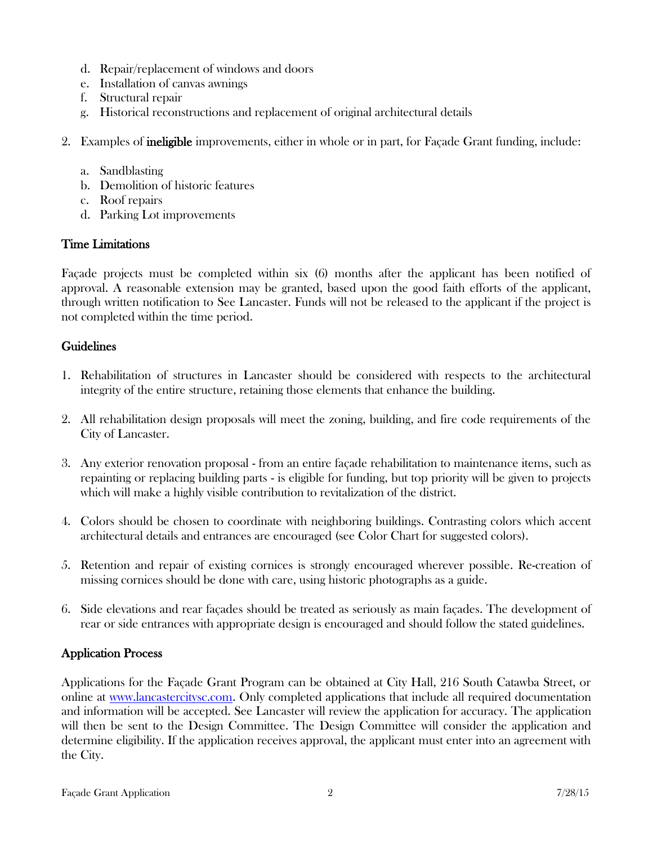- d. Repair/replacement of windows and doors
- e. Installation of canvas awnings
- f. Structural repair
- g. Historical reconstructions and replacement of original architectural details
- 2. Examples of ineligible improvements, either in whole or in part, for Façade Grant funding, include:
	- a. Sandblasting
	- b. Demolition of historic features
	- c. Roof repairs
	- d. Parking Lot improvements

#### Time Limitations

Façade projects must be completed within six (6) months after the applicant has been notified of approval. A reasonable extension may be granted, based upon the good faith efforts of the applicant, through written notification to See Lancaster. Funds will not be released to the applicant if the project is not completed within the time period.

#### Guidelines

- 1. Rehabilitation of structures in Lancaster should be considered with respects to the architectural integrity of the entire structure, retaining those elements that enhance the building.
- 2. All rehabilitation design proposals will meet the zoning, building, and fire code requirements of the City of Lancaster.
- 3. Any exterior renovation proposal from an entire façade rehabilitation to maintenance items, such as repainting or replacing building parts - is eligible for funding, but top priority will be given to projects which will make a highly visible contribution to revitalization of the district.
- 4. Colors should be chosen to coordinate with neighboring buildings. Contrasting colors which accent architectural details and entrances are encouraged (see Color Chart for suggested colors).
- 5. Retention and repair of existing cornices is strongly encouraged wherever possible. Re-creation of missing cornices should be done with care, using historic photographs as a guide.
- 6. Side elevations and rear façades should be treated as seriously as main façades. The development of rear or side entrances with appropriate design is encouraged and should follow the stated guidelines.

#### Application Process

Applications for the Façade Grant Program can be obtained at City Hall, 216 South Catawba Street, or online at [www.lancastercitysc.com.](http://www.lancastercitysc.com/) Only completed applications that include all required documentation and information will be accepted. See Lancaster will review the application for accuracy. The application will then be sent to the Design Committee. The Design Committee will consider the application and determine eligibility. If the application receives approval, the applicant must enter into an agreement with the City.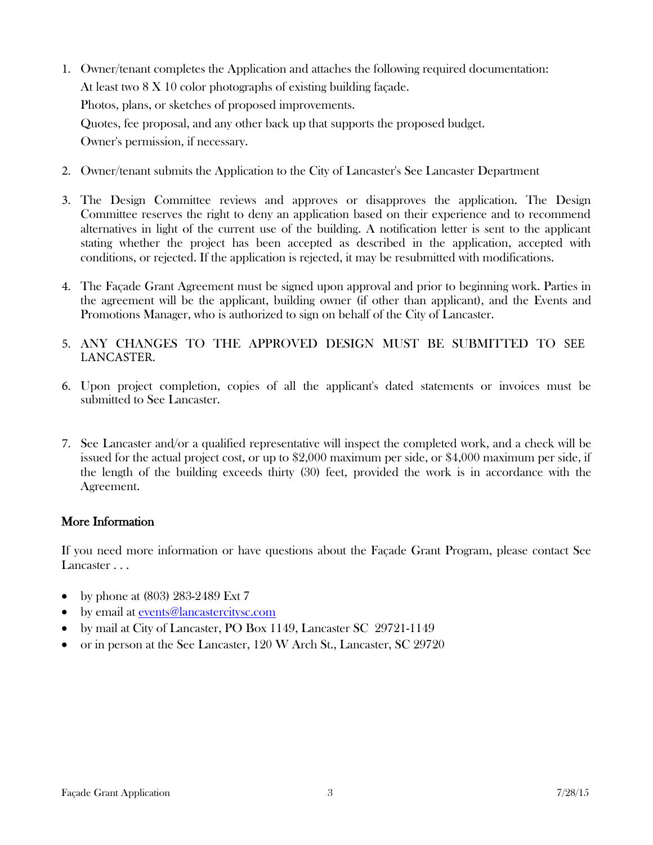- 1. Owner/tenant completes the Application and attaches the following required documentation: At least two 8 X 10 color photographs of existing building façade. Photos, plans, or sketches of proposed improvements. Quotes, fee proposal, and any other back up that supports the proposed budget. Owner's permission, if necessary.
- 2. Owner/tenant submits the Application to the City of Lancaster's See Lancaster Department
- 3. The Design Committee reviews and approves or disapproves the application. The Design Committee reserves the right to deny an application based on their experience and to recommend alternatives in light of the current use of the building. A notification letter is sent to the applicant stating whether the project has been accepted as described in the application, accepted with conditions, or rejected. If the application is rejected, it may be resubmitted with modifications.
- 4. The Façade Grant Agreement must be signed upon approval and prior to beginning work. Parties in the agreement will be the applicant, building owner (if other than applicant), and the Events and Promotions Manager, who is authorized to sign on behalf of the City of Lancaster.
- 5. ANY CHANGES TO THE APPROVED DESIGN MUST BE SUBMITTED TO SEE LANCASTER.
- 6. Upon project completion, copies of all the applicant's dated statements or invoices must be submitted to See Lancaster.
- 7. See Lancaster and/or a qualified representative will inspect the completed work, and a check will be issued for the actual project cost, or up to \$2,000 maximum per side, or \$4,000 maximum per side, if the length of the building exceeds thirty (30) feet, provided the work is in accordance with the Agreement.

#### More Information

If you need more information or have questions about the Façade Grant Program, please contact See Lancaster . . .

- by phone at (803) 283-2489 Ext 7
- by email at [events@lancastercitysc.com](mailto:events@lancastercitysc.com)
- by mail at City of Lancaster, PO Box 1149, Lancaster SC 29721-1149
- or in person at the See Lancaster, 120 W Arch St., Lancaster, SC 29720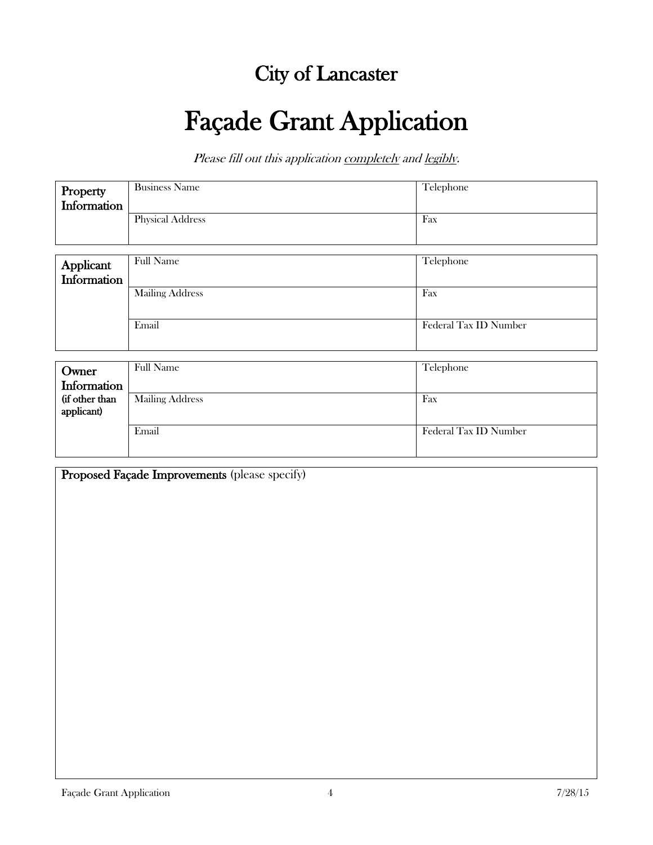## City of Lancaster

# Façade Grant Application

Please fill out this application completely and legibly.

| Property    | <b>Business Name</b>                                                                                  | Telephone    |
|-------------|-------------------------------------------------------------------------------------------------------|--------------|
| Information |                                                                                                       |              |
|             | <b>Physical Address</b>                                                                               | Fax          |
|             |                                                                                                       |              |
|             |                                                                                                       |              |
| Applicant   | <b>Full Name</b>                                                                                      | Telephone    |
| Information |                                                                                                       |              |
|             | $\mathbf{X} \mathbf{f}$ . $\mathbf{Y} \mathbf{f}$ . $\mathbf{Y} \mathbf{f}$ . $\mathbf{Y} \mathbf{f}$ | $\mathbf{L}$ |

| <b>Mailing Address</b> | Fax                   |
|------------------------|-----------------------|
| Email                  | Federal Tax ID Number |

| Owner<br>Information         | <b>Full Name</b>       | Telephone             |
|------------------------------|------------------------|-----------------------|
| (if other than<br>applicant) | <b>Mailing Address</b> | Fax                   |
|                              | Email                  | Federal Tax ID Number |

| Proposed Façade Improvements (please specify) |
|-----------------------------------------------|
|-----------------------------------------------|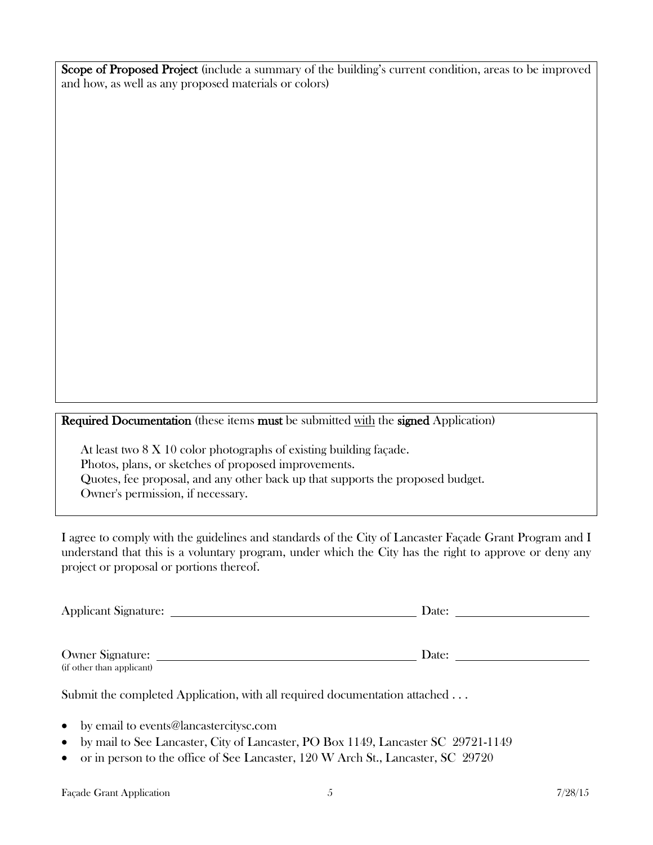Scope of Proposed Project (include a summary of the building's current condition, areas to be improved and how, as well as any proposed materials or colors)

Required Documentation (these items must be submitted with the signed Application)

At least two 8 X 10 color photographs of existing building façade. Photos, plans, or sketches of proposed improvements. Quotes, fee proposal, and any other back up that supports the proposed budget. Owner's permission, if necessary.

I agree to comply with the guidelines and standards of the City of Lancaster Façade Grant Program and I understand that this is a voluntary program, under which the City has the right to approve or deny any project or proposal or portions thereof.

| Applicant Signature:      | Date: |
|---------------------------|-------|
|                           |       |
|                           |       |
| Owner Signature:          | Date: |
| (if other than applicant) |       |

Submit the completed Application, with all required documentation attached ...

- by email to events@lancastercitysc.com
- by mail to See Lancaster, City of Lancaster, PO Box 1149, Lancaster SC 29721-1149
- or in person to the office of See Lancaster, 120 W Arch St., Lancaster, SC 29720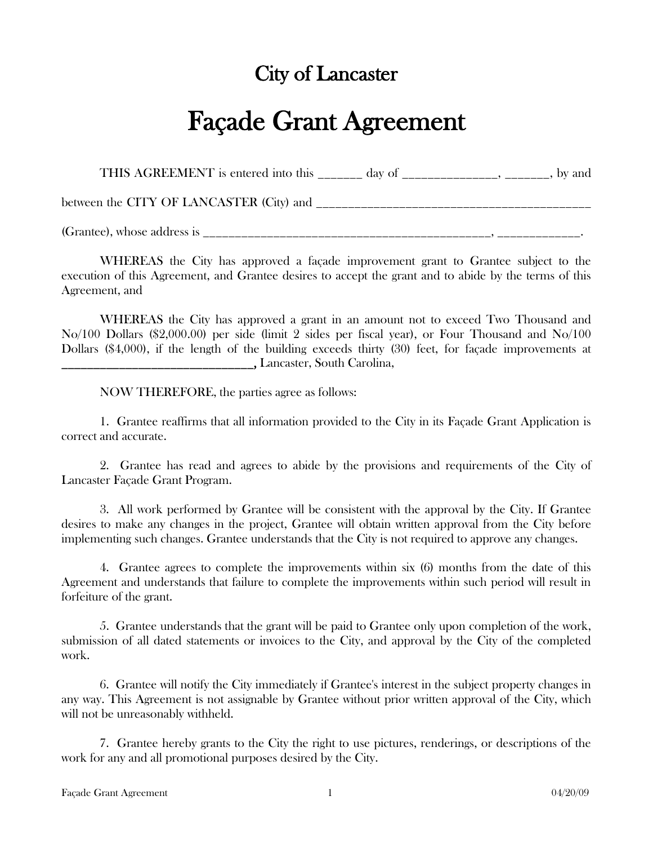## City of Lancaster

## Façade Grant Agreement

THIS AGREEMENT is entered into this \_\_\_\_\_\_\_ day of \_\_\_\_\_\_\_\_\_\_\_\_\_\_, \_\_\_\_\_\_\_, by and

between the CITY OF LANCASTER (City) and \_\_\_\_\_\_\_\_\_\_\_\_\_\_\_\_\_\_\_\_\_\_\_\_\_\_\_\_\_\_\_\_\_\_\_\_\_\_\_\_\_\_\_

(Grantee), whose address is \_\_\_\_\_\_\_\_\_\_\_\_\_\_\_\_\_\_\_\_\_\_\_\_\_\_\_\_\_\_\_\_\_\_\_\_\_\_\_\_\_\_\_\_\_, \_\_\_\_\_\_\_\_\_\_\_\_\_.

WHEREAS the City has approved a façade improvement grant to Grantee subject to the execution of this Agreement, and Grantee desires to accept the grant and to abide by the terms of this Agreement, and

WHEREAS the City has approved a grant in an amount not to exceed Two Thousand and No/100 Dollars (\$2,000.00) per side (limit 2 sides per fiscal year), or Four Thousand and No/100 Dollars (\$4,000), if the length of the building exceeds thirty (30) feet, for façade improvements at \_\_\_\_\_\_\_\_\_\_\_\_\_\_\_\_\_\_\_\_\_\_\_\_\_\_\_\_\_\_, Lancaster, South Carolina,

NOW THEREFORE, the parties agree as follows:

1. Grantee reaffirms that all information provided to the City in its Façade Grant Application is correct and accurate.

2. Grantee has read and agrees to abide by the provisions and requirements of the City of Lancaster Façade Grant Program.

3. All work performed by Grantee will be consistent with the approval by the City. If Grantee desires to make any changes in the project, Grantee will obtain written approval from the City before implementing such changes. Grantee understands that the City is not required to approve any changes.

4. Grantee agrees to complete the improvements within six (6) months from the date of this Agreement and understands that failure to complete the improvements within such period will result in forfeiture of the grant.

5. Grantee understands that the grant will be paid to Grantee only upon completion of the work, submission of all dated statements or invoices to the City, and approval by the City of the completed work.

6. Grantee will notify the City immediately if Grantee's interest in the subject property changes in any way. This Agreement is not assignable by Grantee without prior written approval of the City, which will not be unreasonably withheld.

7. Grantee hereby grants to the City the right to use pictures, renderings, or descriptions of the work for any and all promotional purposes desired by the City.